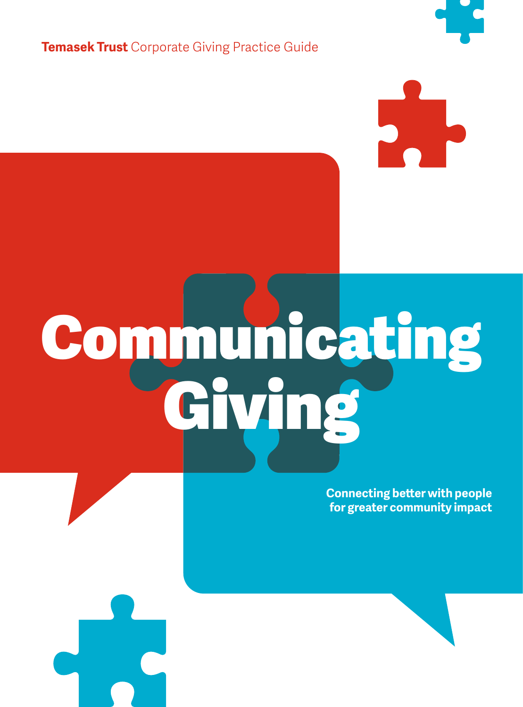**Temasek Trust** Corporate Giving Practice Guide

# Communicating Giving

**Connecting better with people for greater community impact**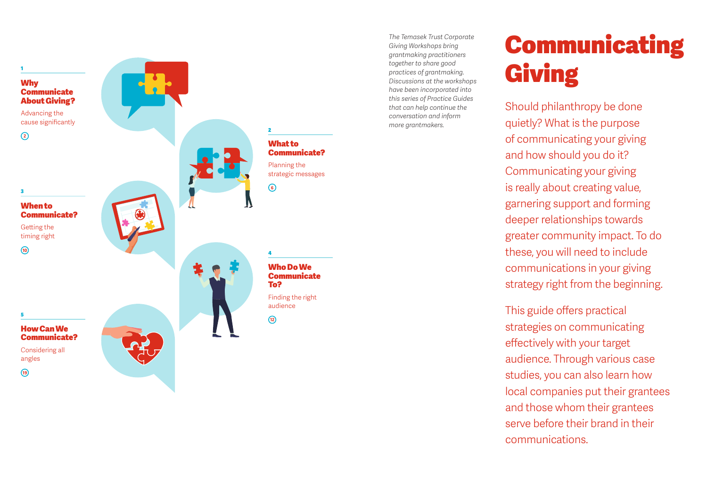

*The Temasek Trust Corporate Giving Workshops bring grantmaking practitioners together to share good practices of grantmaking. Discussions at the workshops have been incorporated into this series of Practice Guides that can help continue the conversation and inform more grantmakers.*

# Communicating Giving

Should philanthropy be done quietly? What is the purpose of communicating your giving and how should you do it? Communicating your giving is really about creating value, garnering support and forming deeper relationships towards greater community impact. To do these, you will need to include communications in your giving strategy right from the beginning.

This guide offers practical strategies on communicating effectively with your target audience. Through various case studies, you can also learn how local companies put their grantees and those whom their grantees serve before their brand in their communications.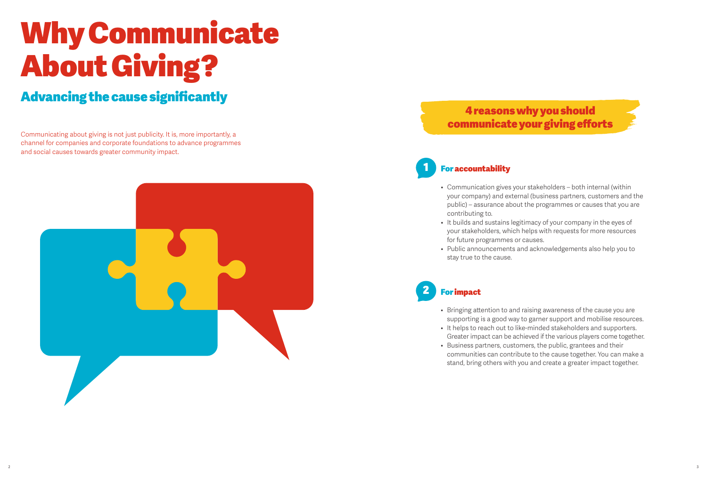# Why Communicate About Giving?

# Advancing the cause significantly

Communicating about giving is not just publicity. It is, more importantly, a channel for companies and corporate foundations to advance programmes and social causes towards greater community impact.



# 4 reasons why you should communicate your giving efforts

# **For accountability**

- Communication gives your stakeholders both internal (within your company) and external (business partners, customers and the public) – assurance about the programmes or causes that you are contributing to.
- It builds and sustains legitimacy of your company in the eyes of your stakeholders, which helps with requests for more resources for future programmes or causes.
- Public announcements and acknowledgements also help you to stay true to the cause.

# **For impact**

- Bringing attention to and raising awareness of the cause you are supporting is a good way to garner support and mobilise resources.
- It helps to reach out to like-minded stakeholders and supporters. Greater impact can be achieved if the various players come together.
- • Business partners, customers, the public, grantees and their communities can contribute to the cause together. You can make a stand, bring others with you and create a greater impact together.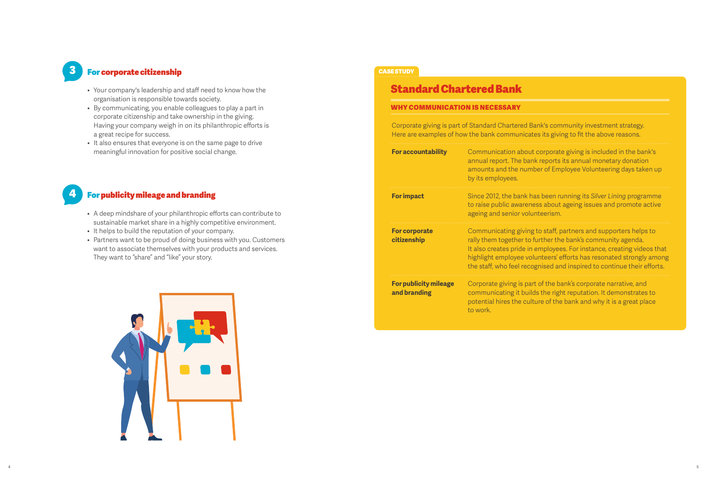# 3 For corporate citizenship

- • Your company's leadership and staff need to know how the organisation is responsible towards society.
- • By communicating, you enable colleagues to play a part in corporate citizenship and take ownership in the giving. Having your company weigh in on its philanthropic efforts is a great recipe for success.
- It also ensures that everyone is on the same page to drive meaningful innovation for positive social change.

### 4 For publicity mileage and branding

- A deep mindshare of your philanthropic efforts can contribute to sustainable market share in a highly competitive environment.
- It helps to build the reputation of your company.
- Partners want to be proud of doing business with you. Customers want to associate themselves with your products and services. They want to "share" and "like" your story.



#### **CASE STUDY**

### Standard Chartered Bank

#### Why communication is necessary

Corporate giving is part of Standard Chartered Bank's community investment strategy. Here are examples of how the bank communicates its giving to fit the above reasons.

| <b>For accountability</b>                    | Communication about corporate giving is included in the bank's<br>annual report. The bank reports its annual monetary donation<br>amounts and the number of Employee Volunteering days taken up<br>by its employees.                                                                                                                                      |
|----------------------------------------------|-----------------------------------------------------------------------------------------------------------------------------------------------------------------------------------------------------------------------------------------------------------------------------------------------------------------------------------------------------------|
| <b>For impact</b>                            | Since 2012, the bank has been running its Silver Lining programme<br>to raise public awareness about ageing issues and promote active<br>ageing and senior volunteerism.                                                                                                                                                                                  |
| <b>For corporate</b><br>citizenship          | Communicating giving to staff, partners and supporters helps to<br>rally them together to further the bank's community agenda.<br>It also creates pride in employees. For instance, creating videos that<br>highlight employee volunteers' efforts has resonated strongly among<br>the staff, who feel recognised and inspired to continue their efforts. |
| <b>For publicity mileage</b><br>and branding | Corporate giving is part of the bank's corporate narrative, and<br>communicating it builds the right reputation. It demonstrates to<br>potential hires the culture of the bank and why it is a great place<br>to work.                                                                                                                                    |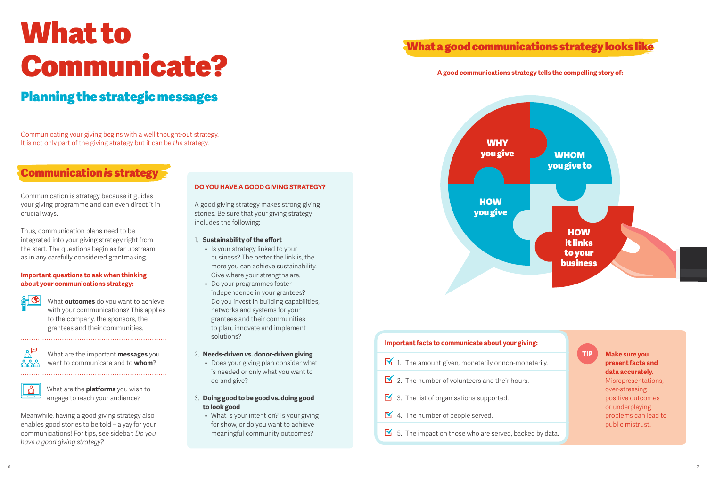# What to Communicate?

# Planning the strategic messages

Communicating your giving begins with a well thought-out strategy. It is not only part of the giving strategy but it can be *the* strategy.

# Communication *is* strategy

Communication is strategy because it guides your giving programme and can even direct it in crucial ways.

Thus, communication plans need to be integrated into your giving strategy right from the start. The questions begin as far upstream as in any carefully considered grantmaking.

#### **Important questions to ask when thinking about your communications strategy:**

紀생 What **outcomes** do you want to achieve with your communications? This applies to the company, the sponsors, the grantees and their communities.



What are the important **messages** you want to communicate and to **whom**?



What are the **platforms** you wish to engage to reach your audience?

Meanwhile, having a good giving strategy also enables good stories to be told – a yay for your communications! For tips, see sidebar: *Do you have a good giving strategy?*

#### **Do you have a good giving strategy?**

A good giving strategy makes strong giving stories. Be sure that your giving strategy includes the following:

#### 1. **Sustainability of the effort**

- Is your strategy linked to your business? The better the link is, the more you can achieve sustainability. Give where your strengths are.
- • Do your programmes foster independence in your grantees? Do you invest in building capabilities, networks and systems for your grantees and their communities to plan, innovate and implement solutions?
- 2. **Needs-driven vs. donor-driven giving**
	- Does your giving plan consider what is needed or only what you want to do and give?
- 3. **Doing good to be good vs. doing good to look good**
	- What is your intention? Is your giving for show, or do you want to achieve meaningful community outcomes?

# What a good communications strategy looks like

#### **A good communications strategy tells the compelling story of:**



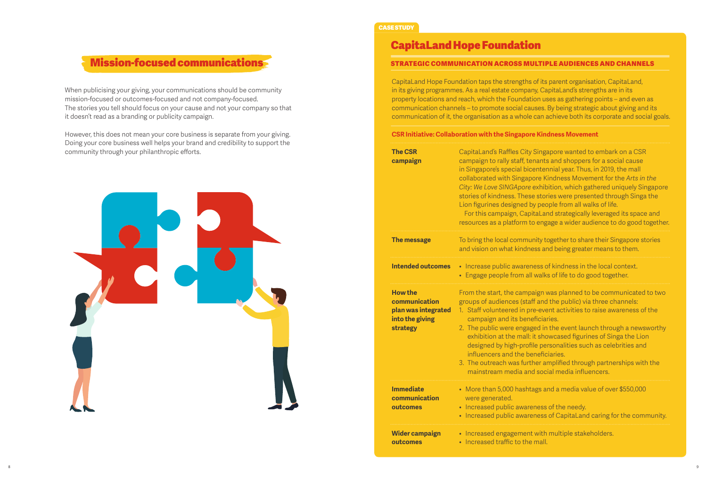# Mission-focused communications

When publicising your giving, your communications should be community mission-focused or outcomes-focused and not company-focused. The stories you tell should focus on your cause and not your company so that it doesn't read as a branding or publicity campaign.

However, this does not mean your core business is separate from your giving. Doing your core business well helps your brand and credibility to support the community through your philanthropic efforts.



#### CASE STUDY

# CapitaLand Hope Foundation

#### Strategic communication across multiple audiences and channels

CapitaLand Hope Foundation taps the strengths of its parent organisation, CapitaLand, in its giving programmes. As a real estate company, CapitaLand's strengths are in its property locations and reach, which the Foundation uses as gathering points – and even as communication channels – to promote social causes. By being strategic about giving and its communication of it, the organisation as a whole can achieve both its corporate and social goals.

#### **CSR Initiative: Collaboration with the Singapore Kindness Movement**

| <b>The CSR</b><br>campaign                                                            | CapitaLand's Raffles City Singapore wanted to embark on a CSR<br>campaign to rally staff, tenants and shoppers for a social cause<br>in Singapore's special bicentennial year. Thus, in 2019, the mall<br>collaborated with Singapore Kindness Movement for the Arts in the<br>City: We Love SINGApore exhibition, which gathered uniquely Singapore<br>stories of kindness. These stories were presented through Singa the<br>Lion figurines designed by people from all walks of life.<br>For this campaign, CapitaLand strategically leveraged its space and<br>resources as a platform to engage a wider audience to do good together. |
|---------------------------------------------------------------------------------------|--------------------------------------------------------------------------------------------------------------------------------------------------------------------------------------------------------------------------------------------------------------------------------------------------------------------------------------------------------------------------------------------------------------------------------------------------------------------------------------------------------------------------------------------------------------------------------------------------------------------------------------------|
| The message                                                                           | To bring the local community together to share their Singapore stories<br>and vision on what kindness and being greater means to them.                                                                                                                                                                                                                                                                                                                                                                                                                                                                                                     |
| <b>Intended outcomes</b>                                                              | • Increase public awareness of kindness in the local context.<br>• Engage people from all walks of life to do good together.                                                                                                                                                                                                                                                                                                                                                                                                                                                                                                               |
| <b>How the</b><br>communication<br>plan was integrated<br>into the giving<br>strategy | From the start, the campaign was planned to be communicated to two<br>groups of audiences (staff and the public) via three channels:<br>1. Staff volunteered in pre-event activities to raise awareness of the<br>campaign and its beneficiaries.<br>2. The public were engaged in the event launch through a newsworthy<br>exhibition at the mall: it showcased figurines of Singa the Lion<br>designed by high-profile personalities such as celebrities and<br>influencers and the beneficiaries.<br>3. The outreach was further amplified through partnerships with the<br>mainstream media and social media influencers.              |
| <b>Immediate</b><br>communication<br>outcomes                                         | • More than 5,000 hashtags and a media value of over \$550,000<br>were generated.<br>• Increased public awareness of the needy.<br>• Increased public awareness of CapitaLand caring for the community.                                                                                                                                                                                                                                                                                                                                                                                                                                    |
| <b>Wider campaign</b><br>outcomes                                                     | • Increased engagement with multiple stakeholders.<br>• Increased traffic to the mall.                                                                                                                                                                                                                                                                                                                                                                                                                                                                                                                                                     |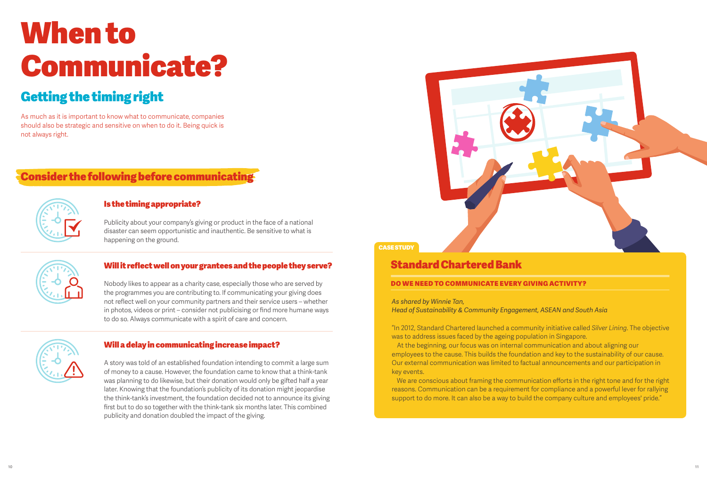# When to Communicate?

# Getting the timing right

As much as it is important to know what to communicate, companies should also be strategic and sensitive on when to do it. Being quick is not always right.

# Consider the following before communicating



#### Is the timing appropriate?

Publicity about your company's giving or product in the face of a national disaster can seem opportunistic and inauthentic. Be sensitive to what is happening on the ground.



#### Will it reflect well on your grantees and the people they serve?

Nobody likes to appear as a charity case, especially those who are served by the programmes you are contributing to. If communicating your giving does not reflect well on your community partners and their service users – whether in photos, videos or print – consider not publicising or find more humane ways to do so. Always communicate with a spirit of care and concern.



#### Will a delay in communicating increase impact?

A story was told of an established foundation intending to commit a large sum of money to a cause. However, the foundation came to know that a think-tank was planning to do likewise, but their donation would only be gifted half a year later. Knowing that the foundation's publicity of its donation might jeopardise the think-tank's investment, the foundation decided not to announce its giving first but to do so together with the think-tank six months later. This combined publicity and donation doubled the impact of the giving.



### CASE STUDY

### Standard Chartered Bank

#### Do we need to communicate every giving activity?

*As shared by Winnie Tan,*

*Head of Sustainability & Community Engagement, ASEAN and South Asia*

"In 2012, Standard Chartered launched a community initiative called *Silver Lining*. The objective was to address issues faced by the ageing population in Singapore.

At the beginning, our focus was on internal communication and about aligning our employees to the cause. This builds the foundation and key to the sustainability of our cause. Our external communication was limited to factual announcements and our participation in key events.

We are conscious about framing the communication efforts in the right tone and for the right reasons. Communication can be a requirement for compliance and a powerful lever for rallying support to do more. It can also be a way to build the company culture and employees' pride."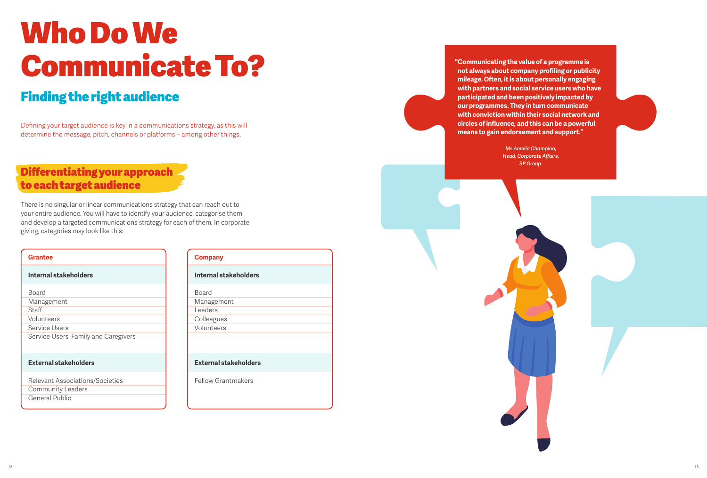# Who Do We Communicate To?

# Finding the right audience

Defining your target audience is key in a communications strategy, as this will determine the message, pitch, channels or platforms – among other things.

# Differentiating your approach to each target audience

There is no singular or linear communications strategy that can reach out to your entire audience. You will have to identify your audience, categorise them and develop a targeted communications strategy for each of them. In corporate giving, categories may look like this:

| <b>Grantee</b>                       |
|--------------------------------------|
| Internal stakeholders                |
| Board                                |
| Management                           |
| Staff                                |
| Volunteers                           |
| Service Users                        |
| Service Users' Family and Caregivers |
| <b>External stakeholders</b>         |
| Relevant Associations/Societies      |
| <b>Community Leaders</b>             |

| Community Lead                |  |
|-------------------------------|--|
| $\bigcap$ $\bigcap$ $\bigcup$ |  |

General Public

| <b>Company</b>        |
|-----------------------|
| Internal stakeholders |
| <b>Board</b>          |
| Management            |
| Leaders               |
| Colleagues            |
| Volunteers            |
|                       |
|                       |

# **External stakeholders**

Fellow Grantmakers

**"Communicating the value of a programme is not always about company profiling or publicity mileage. Often, it is about personally engaging with partners and social service users who have participated and been positively impacted by our programmes. They in turn communicate with conviction within their social network and circles of influence, and this can be a powerful means to gain endorsement and support."**

> *Ms Amelia Champion, Head, Corporate Affairs, SP Group*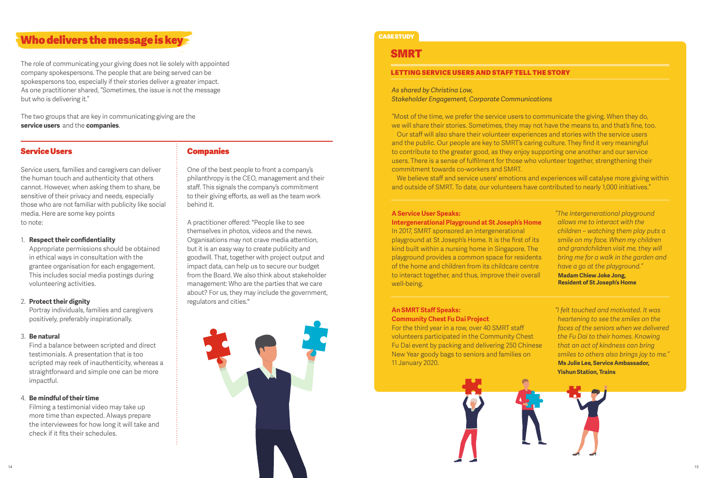## Who delivers the message is key

The role of communicating your giving does not lie solely with appointed company spokespersons. The people that are being served can be spokespersons too, especially if their stories deliver a greater impact. As one practitioner shared, "Sometimes, the issue is not the message but who is delivering it."

The two groups that are key in communicating giving are the **service users** and the **companies**.

#### Service Users

Service users, families and caregivers can deliver the human touch and authenticity that others cannot. However, when asking them to share, be sensitive of their privacy and needs, especially those who are not familiar with publicity like social media. Here are some key points to note:

1. **Respect their confidentiality**

Appropriate permissions should be obtained in ethical ways in consultation with the grantee organisation for each engagement. This includes social media postings during volunteering activities.

#### 2. **Protect their dignity**

Portray individuals, families and caregivers positively, preferably inspirationally.

#### 3. **Be natural**

Find a balance between scripted and direct testimonials. A presentation that is too scripted may reek of inauthenticity, whereas a straightforward and simple one can be more impactful.

#### 4. **Be mindful of their time**

Filming a testimonial video may take up more time than expected. Always prepare the interviewees for how long it will take and check if it fits their schedules.

#### Companies

One of the best people to front a company's philanthropy is the CEO, management and their staff. This signals the company's commitment to their giving efforts, as well as the team work behind it.

A practitioner offered: "People like to see themselves in photos, videos and the news. Organisations may not crave media attention, but it is an easy way to create publicity and goodwill. That, together with project output and impact data, can help us to secure our budget from the Board. We also think about stakeholder management: Who are the parties that we care about? For us, they may include the government, regulators and cities."



#### CASE STUDY

#### SMRT

#### Letting SERVICE USERS and staff tell the story

*As shared by Christina Low, Stakeholder Engagement, Corporate Communications*

"Most of the time, we prefer the service users to communicate the giving. When they do, we will share their stories. Sometimes, they may not have the means to, and that's fine, too.

Our staff will also share their volunteer experiences and stories with the service users and the public. Our people are key to SMRT's caring culture. They find it very meaningful to contribute to the greater good, as they enjoy supporting one another and our service users. There is a sense of fulfilment for those who volunteer together, strengthening their commitment towards co-workers and SMRT.

We believe staff and service users' emotions and experiences will catalyse more giving within and outside of SMRT. To date, our volunteers have contributed to nearly 1,000 initiatives."

#### **A Service User Speaks:**

#### **Intergenerational Playground at St Joseph's Home**

In 2017, SMRT sponsored an intergenerational playground at St Joseph's Home. It is the first of its kind built within a nursing home in Singapore. The playground provides a common space for residents of the home and children from its childcare centre to interact together, and thus, improve their overall well-being.

*"The intergenerational playground allows me to interact with the children – watching them play puts a smile on my face. When my children and grandchildren visit me, they will bring me for a walk in the garden and have a go at the playground."*  **Madam Chiew Joke Jong, Resident of St Joseph's Home**

#### **An SMRT Staff Speaks: Community Chest Fu Dai Project**

For the third year in a row, over 40 SMRT staff volunteers participated in the Community Chest Fu Dai event by packing and delivering 250 Chinese New Year goody bags to seniors and families on 11 January 2020.

*"I felt touched and motivated. It was heartening to see the smiles on the faces of the seniors when we delivered the Fu Dai to their homes. Knowing that an act of kindness can bring smiles to others also brings joy to me."*  **Ms Julie Lee, Service Ambassador, Yishun Station, Trains**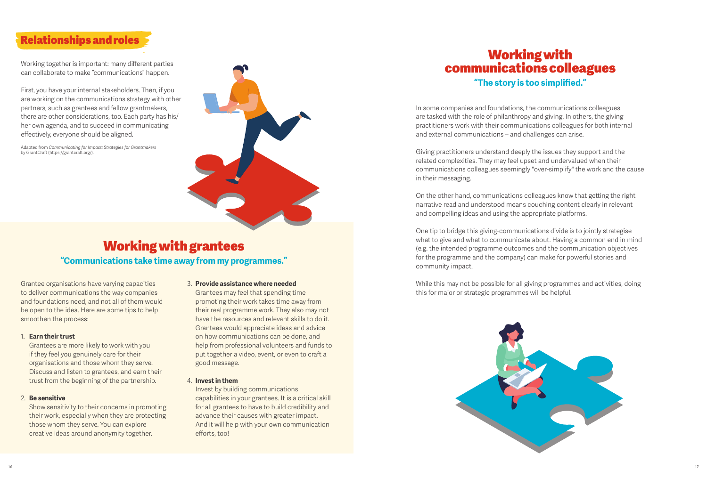# Relationships and roles

Working together is important: many different parties can collaborate to make "communications" happen.

First, you have your internal stakeholders. Then, if you are working on the communications strategy with other partners, such as grantees and fellow grantmakers, there are other considerations, too. Each party has his/ her own agenda, and to succeed in communicating effectively, everyone should be aligned.

Adapted from *Communicating for Impact: Strategies for Grantmakers* by GrantCraft (https://grantcraft.org/).



# Working with grantees **"Communications take time away from my programmes."**

Grantee organisations have varying capacities to deliver communications the way companies and foundations need, and not all of them would be open to the idea. Here are some tips to help smoothen the process:

#### 1. **Earn their trust**

Grantees are more likely to work with you if they feel you genuinely care for their organisations and those whom they serve. Discuss and listen to grantees, and earn their trust from the beginning of the partnership.

#### 2. **Be sensitive**

Show sensitivity to their concerns in promoting their work, especially when they are protecting those whom they serve. You can explore creative ideas around anonymity together.

#### 3. **Provide assistance where needed**

Grantees may feel that spending time promoting their work takes time away from their real programme work. They also may not have the resources and relevant skills to do it. Grantees would appreciate ideas and advice on how communications can be done, and help from professional volunteers and funds to put together a video, event, or even to craft a good message.

#### 4. **Invest in them**

Invest by building communications capabilities in your grantees. It is a critical skill for all grantees to have to build credibility and advance their causes with greater impact. And it will help with your own communication efforts, too!

# Working with communications colleagues **"The story is too simplified."**

In some companies and foundations, the communications colleagues are tasked with the role of philanthropy and giving. In others, the giving practitioners work with their communications colleagues for both internal and external communications – and challenges can arise.

Giving practitioners understand deeply the issues they support and the related complexities. They may feel upset and undervalued when their communications colleagues seemingly "over-simplify" the work and the cause in their messaging.

On the other hand, communications colleagues know that getting the right narrative read and understood means couching content clearly in relevant and compelling ideas and using the appropriate platforms.

One tip to bridge this giving-communications divide is to jointly strategise what to give and what to communicate about. Having a common end in mind (e.g. the intended programme outcomes and the communication objectives for the programme and the company) can make for powerful stories and community impact.

While this may not be possible for all giving programmes and activities, doing this for major or strategic programmes will be helpful.

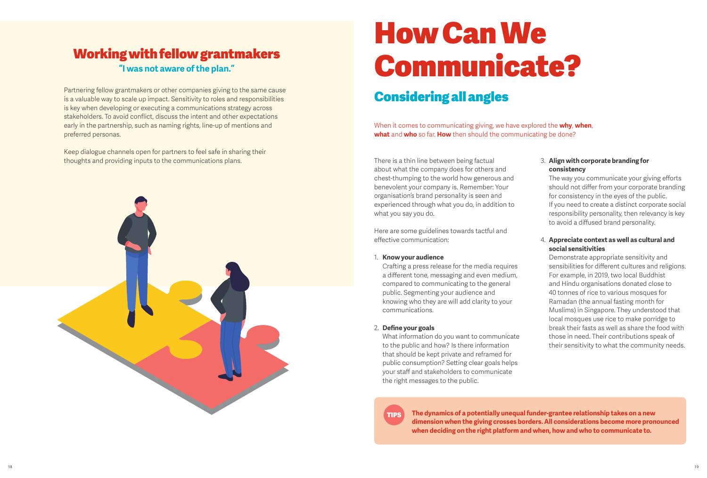# Working with fellow grantmakers **"I was not aware of the plan."**

Partnering fellow grantmakers or other companies giving to the same cause is a valuable way to scale up impact. Sensitivity to roles and responsibilities is key when developing or executing a communications strategy across stakeholders. To avoid conflict, discuss the intent and other expectations early in the partnership, such as naming rights, line-up of mentions and preferred personas.

Keep dialogue channels open for partners to feel safe in sharing their thoughts and providing inputs to the communications plans. There is a thin line between being factual



# How Can We Communicate?

# Considering all angles

When it comes to communicating giving, we have explored the **why**, **when**, **what** and **who** so far. **How** then should the communicating be done?

about what the company does for others and chest-thumping to the world how generous and benevolent your company is. Remember: Your organisation's brand personality is seen and experienced through what you do, in addition to what you say you do.

Here are some guidelines towards tactful and effective communication:

1. **Know your audience**

Crafting a press release for the media requires a different tone, messaging and even medium, compared to communicating to the general public. Segmenting your audience and knowing who they are will add clarity to your communications.

2. **Define your goals**

What information do you want to communicate to the public and how? Is there information that should be kept private and reframed for public consumption? Setting clear goals helps your staff and stakeholders to communicate the right messages to the public.

#### 3. **Align with corporate branding for consistency**

The way you communicate your giving efforts should not differ from your corporate branding for consistency in the eyes of the public. If you need to create a distinct corporate social responsibility personality, then relevancy is key to avoid a diffused brand personality.

#### 4. **Appreciate context as well as cultural and social sensitivities**

Demonstrate appropriate sensitivity and sensibilities for different cultures and religions. For example, in 2019, two local Buddhist and Hindu organisations donated close to 40 tonnes of rice to various mosques for Ramadan (the annual fasting month for Muslims) in Singapore. They understood that local mosques use rice to make porridge to break their fasts as well as share the food with those in need. Their contributions speak of their sensitivity to what the community needs.

**The dynamics of a potentially unequal funder-grantee relationship takes on a new dimension when the giving crosses borders. All considerations become more pronounced when deciding on the right platform and when, how and who to communicate to.**

TIPS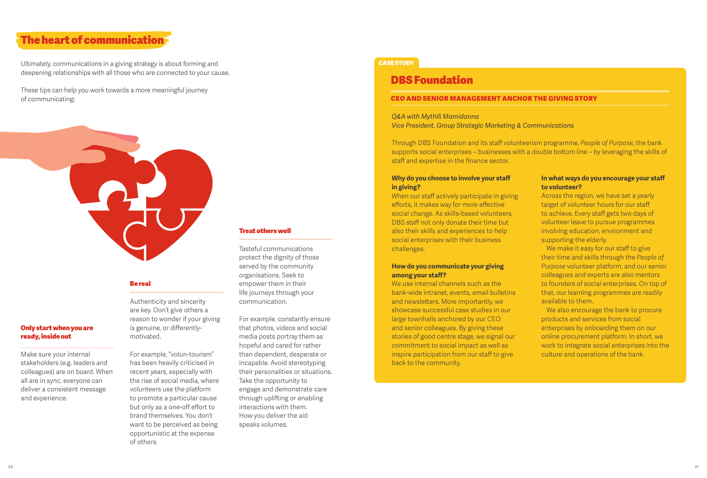### The heart of communication

Ultimately, communications in a giving strategy is about forming and deepening relationships with all those who are connected to your cause.

These tips can help you work towards a more meaningful journey of communicating:



#### Be real

Authenticity and sincerity are key. Don't give others a reason to wonder if your giving is genuine, or differentlymotivated.

For example, "volun-tourism" has been heavily criticised in recent years, especially with the rise of social media, where volunteers use the platform to promote a particular cause but only as a one-off effort to brand themselves. You don't want to be perceived as being opportunistic at the expense of others.

#### Treat others well

Tasteful communications protect the dignity of those served by the community organisations. Seek to empower them in their life journeys through your communication.

For example, constantly ensure that photos, videos and social media posts portray them as hopeful and cared for rather than dependent, desperate or incapable. Avoid stereotyping their personalities or situations. Take the opportunity to engage and demonstrate care through uplifting or enabling interactions with them. How you deliver the aid speaks volumes.

#### **CASE STUDY**

### DBS Foundation

#### CEO and senior management anchor the giving story

*Q&A with Mythili Mamidanna Vice President, Group Strategic Marketing & Communications*

Through DBS Foundation and its staff volunteerism programme, *People of Purpose*, the bank supports social enterprises – businesses with a double bottom line – by leveraging the skills of staff and expertise in the finance sector.

#### **Why do you choose to involve your staff in giving?**

When our staff actively participate in giving efforts, it makes way for more effective social change. As skills-based volunteers, DBS staff not only donate their time but also their skills and experiences to help social enterprises with their business challenges.

#### **How do you communicate your giving among your staff?**

We use internal channels such as the bank-wide intranet, events, email bulletins and newsletters. More importantly, we showcase successful case studies in our large townhalls anchored by our CEO and senior colleagues. By giving these stories of good centre stage, we signal our commitment to social impact as well as inspire participation from our staff to give back to the community.

#### **In what ways do you encourage your staff to volunteer?**

Across the region, we have set a yearly target of volunteer hours for our staff to achieve. Every staff gets two days of volunteer leave to pursue programmes involving education, environment and supporting the elderly.

We make it easy for our staff to give their time and skills through the *People of Purpose* volunteer platform, and our senior colleagues and experts are also mentors to founders of social enterprises. On top of that, our learning programmes are readily available to them.

We also encourage the bank to procure products and services from social enterprises by onboarding them on our online procurement platform. In short, we work to integrate social enterprises into the culture and operations of the bank.

Only start when you are ready, inside out

Make sure your internal stakeholders (e.g. leaders and colleagues) are on board. When all are in sync, everyone can deliver a consistent message

and experience.